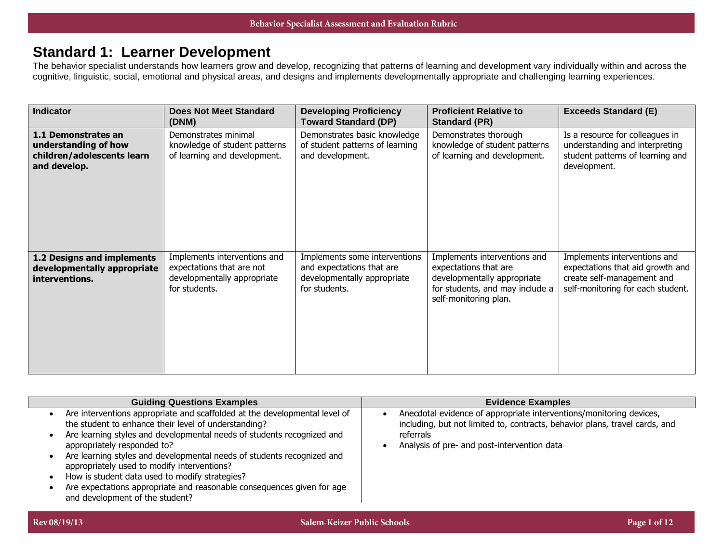## **Standard 1: Learner Development**

The behavior specialist understands how learners grow and develop, recognizing that patterns of learning and development vary individually within and across the cognitive, linguistic, social, emotional and physical areas, and designs and implements developmentally appropriate and challenging learning experiences.

| <b>Indicator</b>                                                                          | <b>Does Not Meet Standard</b><br>(DNM)                                                                    | <b>Developing Proficiency</b><br><b>Toward Standard (DP)</b>                                               | <b>Proficient Relative to</b><br><b>Standard (PR)</b>                                                                                            | <b>Exceeds Standard (E)</b>                                                                                                         |
|-------------------------------------------------------------------------------------------|-----------------------------------------------------------------------------------------------------------|------------------------------------------------------------------------------------------------------------|--------------------------------------------------------------------------------------------------------------------------------------------------|-------------------------------------------------------------------------------------------------------------------------------------|
| 1.1 Demonstrates an<br>understanding of how<br>children/adolescents learn<br>and develop. | Demonstrates minimal<br>knowledge of student patterns<br>of learning and development.                     | Demonstrates basic knowledge<br>of student patterns of learning<br>and development.                        | Demonstrates thorough<br>knowledge of student patterns<br>of learning and development.                                                           | Is a resource for colleagues in<br>understanding and interpreting<br>student patterns of learning and<br>development.               |
| 1.2 Designs and implements<br>developmentally appropriate<br>interventions.               | Implements interventions and<br>expectations that are not<br>developmentally appropriate<br>for students. | Implements some interventions<br>and expectations that are<br>developmentally appropriate<br>for students. | Implements interventions and<br>expectations that are<br>developmentally appropriate<br>for students, and may include a<br>self-monitoring plan. | Implements interventions and<br>expectations that aid growth and<br>create self-management and<br>self-monitoring for each student. |

| <b>Guiding Questions Examples</b>                                                                                                                                                                                                                                                                                                                                                                                                                                                                                                   | <b>Evidence Examples</b>                                                                                                                                                                                       |
|-------------------------------------------------------------------------------------------------------------------------------------------------------------------------------------------------------------------------------------------------------------------------------------------------------------------------------------------------------------------------------------------------------------------------------------------------------------------------------------------------------------------------------------|----------------------------------------------------------------------------------------------------------------------------------------------------------------------------------------------------------------|
| Are interventions appropriate and scaffolded at the developmental level of<br>the student to enhance their level of understanding?<br>Are learning styles and developmental needs of students recognized and<br>appropriately responded to?<br>Are learning styles and developmental needs of students recognized and<br>appropriately used to modify interventions?<br>How is student data used to modify strategies?<br>Are expectations appropriate and reasonable consequences given for age<br>and development of the student? | Anecdotal evidence of appropriate interventions/monitoring devices,<br>including, but not limited to, contracts, behavior plans, travel cards, and<br>referrals<br>Analysis of pre- and post-intervention data |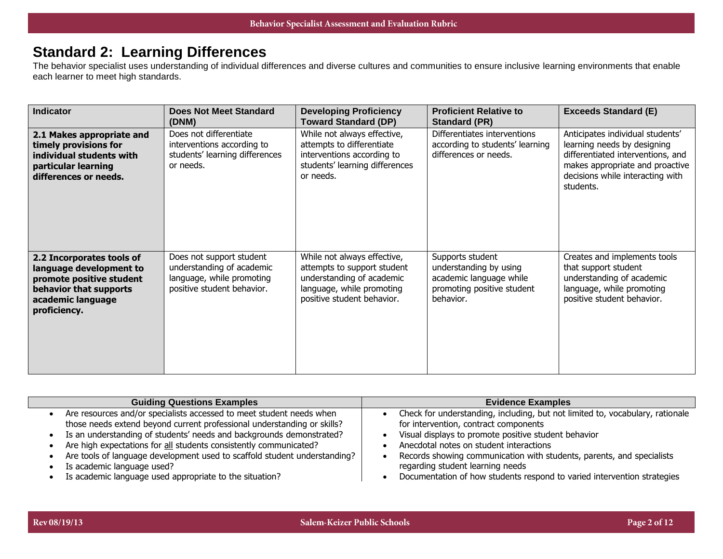## **Standard 2: Learning Differences**

The behavior specialist uses understanding of individual differences and diverse cultures and communities to ensure inclusive learning environments that enable each learner to meet high standards.

| <b>Indicator</b>                                                                                                                                | <b>Does Not Meet Standard</b><br>(DNM)                                                                           | <b>Developing Proficiency</b><br><b>Toward Standard (DP)</b>                                                                                       | <b>Proficient Relative to</b><br><b>Standard (PR)</b>                                                            | <b>Exceeds Standard (E)</b>                                                                                                                                                              |
|-------------------------------------------------------------------------------------------------------------------------------------------------|------------------------------------------------------------------------------------------------------------------|----------------------------------------------------------------------------------------------------------------------------------------------------|------------------------------------------------------------------------------------------------------------------|------------------------------------------------------------------------------------------------------------------------------------------------------------------------------------------|
| 2.1 Makes appropriate and<br>timely provisions for<br>individual students with<br>particular learning<br>differences or needs.                  | Does not differentiate<br>interventions according to<br>students' learning differences<br>or needs.              | While not always effective,<br>attempts to differentiate<br>interventions according to<br>students' learning differences<br>or needs.              | Differentiates interventions<br>according to students' learning<br>differences or needs.                         | Anticipates individual students'<br>learning needs by designing<br>differentiated interventions, and<br>makes appropriate and proactive<br>decisions while interacting with<br>students. |
| 2.2 Incorporates tools of<br>language development to<br>promote positive student<br>behavior that supports<br>academic language<br>proficiency. | Does not support student<br>understanding of academic<br>language, while promoting<br>positive student behavior. | While not always effective,<br>attempts to support student<br>understanding of academic<br>language, while promoting<br>positive student behavior. | Supports student<br>understanding by using<br>academic language while<br>promoting positive student<br>behavior. | Creates and implements tools<br>that support student<br>understanding of academic<br>language, while promoting<br>positive student behavior.                                             |

| <b>Guiding Questions Examples</b>                                         | <b>Evidence Examples</b>                                                      |
|---------------------------------------------------------------------------|-------------------------------------------------------------------------------|
| Are resources and/or specialists accessed to meet student needs when      | Check for understanding, including, but not limited to, vocabulary, rationale |
| those needs extend beyond current professional understanding or skills?   | for intervention, contract components                                         |
| Is an understanding of students' needs and backgrounds demonstrated?      | Visual displays to promote positive student behavior                          |
| Are high expectations for all students consistently communicated?         | Anecdotal notes on student interactions                                       |
| Are tools of language development used to scaffold student understanding? | Records showing communication with students, parents, and specialists         |
| Is academic language used?                                                | regarding student learning needs                                              |
| Is academic language used appropriate to the situation?                   | Documentation of how students respond to varied intervention strategies       |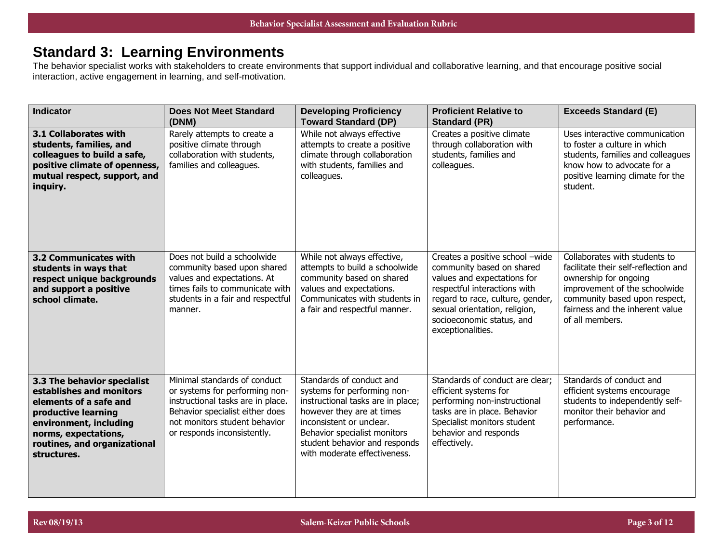# **Standard 3: Learning Environments**

The behavior specialist works with stakeholders to create environments that support individual and collaborative learning, and that encourage positive social interaction, active engagement in learning, and self-motivation.

| <b>Indicator</b>                                                                                                                                                                                          | <b>Does Not Meet Standard</b><br>(DNM)                                                                                                                                                                 | <b>Developing Proficiency</b><br><b>Toward Standard (DP)</b>                                                                                                                                                                                           | <b>Proficient Relative to</b><br><b>Standard (PR)</b>                                                                                                                                                                                              | <b>Exceeds Standard (E)</b>                                                                                                                                                                                            |
|-----------------------------------------------------------------------------------------------------------------------------------------------------------------------------------------------------------|--------------------------------------------------------------------------------------------------------------------------------------------------------------------------------------------------------|--------------------------------------------------------------------------------------------------------------------------------------------------------------------------------------------------------------------------------------------------------|----------------------------------------------------------------------------------------------------------------------------------------------------------------------------------------------------------------------------------------------------|------------------------------------------------------------------------------------------------------------------------------------------------------------------------------------------------------------------------|
| 3.1 Collaborates with<br>students, families, and<br>colleagues to build a safe,<br>positive climate of openness,<br>mutual respect, support, and<br>inquiry.                                              | Rarely attempts to create a<br>positive climate through<br>collaboration with students,<br>families and colleagues.                                                                                    | While not always effective<br>attempts to create a positive<br>climate through collaboration<br>with students, families and<br>colleagues.                                                                                                             | Creates a positive climate<br>through collaboration with<br>students, families and<br>colleagues.                                                                                                                                                  | Uses interactive communication<br>to foster a culture in which<br>students, families and colleagues<br>know how to advocate for a<br>positive learning climate for the<br>student.                                     |
| <b>3.2 Communicates with</b><br>students in ways that<br>respect unique backgrounds<br>and support a positive<br>school climate.                                                                          | Does not build a schoolwide<br>community based upon shared<br>values and expectations. At<br>times fails to communicate with<br>students in a fair and respectful<br>manner.                           | While not always effective,<br>attempts to build a schoolwide<br>community based on shared<br>values and expectations.<br>Communicates with students in<br>a fair and respectful manner.                                                               | Creates a positive school -wide<br>community based on shared<br>values and expectations for<br>respectful interactions with<br>regard to race, culture, gender,<br>sexual orientation, religion,<br>socioeconomic status, and<br>exceptionalities. | Collaborates with students to<br>facilitate their self-reflection and<br>ownership for ongoing<br>improvement of the schoolwide<br>community based upon respect,<br>fairness and the inherent value<br>of all members. |
| 3.3 The behavior specialist<br>establishes and monitors<br>elements of a safe and<br>productive learning<br>environment, including<br>norms, expectations,<br>routines, and organizational<br>structures. | Minimal standards of conduct<br>or systems for performing non-<br>instructional tasks are in place.<br>Behavior specialist either does<br>not monitors student behavior<br>or responds inconsistently. | Standards of conduct and<br>systems for performing non-<br>instructional tasks are in place;<br>however they are at times<br>inconsistent or unclear.<br>Behavior specialist monitors<br>student behavior and responds<br>with moderate effectiveness. | Standards of conduct are clear;<br>efficient systems for<br>performing non-instructional<br>tasks are in place. Behavior<br>Specialist monitors student<br>behavior and responds<br>effectively.                                                   | Standards of conduct and<br>efficient systems encourage<br>students to independently self-<br>monitor their behavior and<br>performance.                                                                               |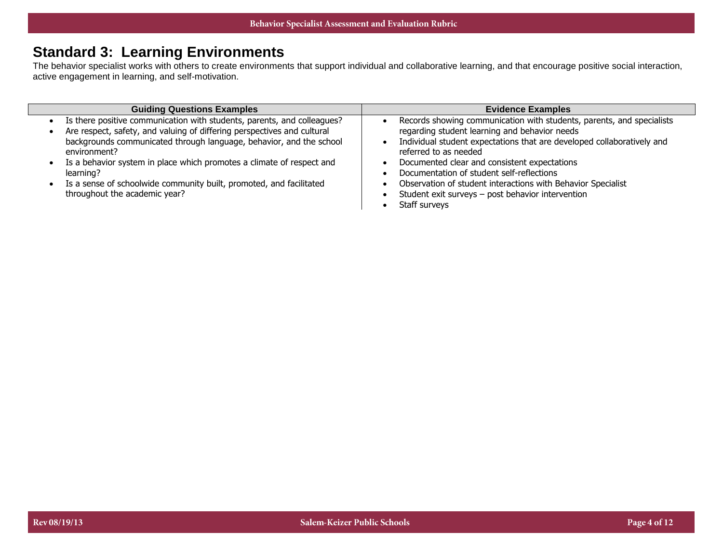## **Standard 3: Learning Environments**

The behavior specialist works with others to create environments that support individual and collaborative learning, and that encourage positive social interaction, active engagement in learning, and self-motivation.

| <b>Guiding Questions Examples</b>                                                   | <b>Evidence Examples</b>                                                                        |
|-------------------------------------------------------------------------------------|-------------------------------------------------------------------------------------------------|
| Is there positive communication with students, parents, and colleagues?             | Records showing communication with students, parents, and specialists                           |
| Are respect, safety, and valuing of differing perspectives and cultural             | regarding student learning and behavior needs                                                   |
| backgrounds communicated through language, behavior, and the school<br>environment? | Individual student expectations that are developed collaboratively and<br>referred to as needed |
| Is a behavior system in place which promotes a climate of respect and               | Documented clear and consistent expectations                                                    |
| learning?                                                                           | Documentation of student self-reflections                                                       |
| Is a sense of schoolwide community built, promoted, and facilitated                 | Observation of student interactions with Behavior Specialist                                    |
| throughout the academic year?                                                       | Student exit surveys - post behavior intervention                                               |
|                                                                                     | Staff surveys                                                                                   |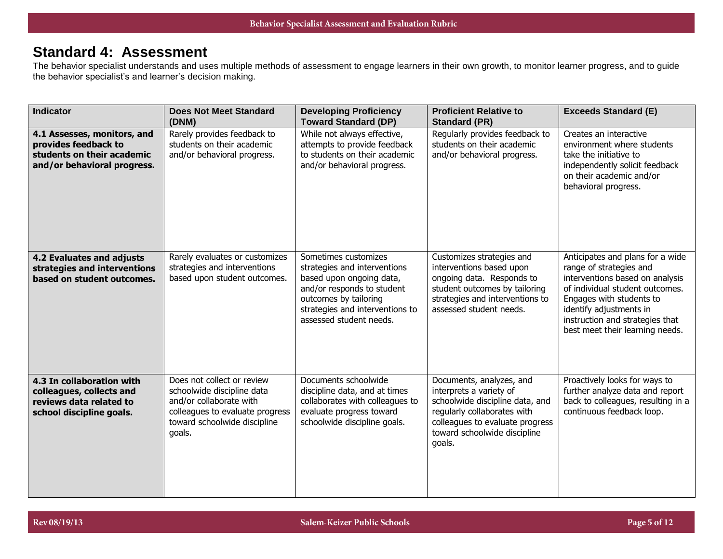## **Standard 4: Assessment**

The behavior specialist understands and uses multiple methods of assessment to engage learners in their own growth, to monitor learner progress, and to guide the behavior specialist's and learner's decision making.

| <b>Indicator</b>                                                                                                 | <b>Does Not Meet Standard</b><br>(DNM)                                                                                                                           | <b>Developing Proficiency</b><br><b>Toward Standard (DP)</b>                                                                                                                                          | <b>Proficient Relative to</b><br><b>Standard (PR)</b>                                                                                                                                              | <b>Exceeds Standard (E)</b>                                                                                                                                                                                                                                    |
|------------------------------------------------------------------------------------------------------------------|------------------------------------------------------------------------------------------------------------------------------------------------------------------|-------------------------------------------------------------------------------------------------------------------------------------------------------------------------------------------------------|----------------------------------------------------------------------------------------------------------------------------------------------------------------------------------------------------|----------------------------------------------------------------------------------------------------------------------------------------------------------------------------------------------------------------------------------------------------------------|
| 4.1 Assesses, monitors, and<br>provides feedback to<br>students on their academic<br>and/or behavioral progress. | Rarely provides feedback to<br>students on their academic<br>and/or behavioral progress.                                                                         | While not always effective,<br>attempts to provide feedback<br>to students on their academic<br>and/or behavioral progress.                                                                           | Regularly provides feedback to<br>students on their academic<br>and/or behavioral progress.                                                                                                        | Creates an interactive<br>environment where students<br>take the initiative to<br>independently solicit feedback<br>on their academic and/or<br>behavioral progress.                                                                                           |
| 4.2 Evaluates and adjusts<br>strategies and interventions<br>based on student outcomes.                          | Rarely evaluates or customizes<br>strategies and interventions<br>based upon student outcomes.                                                                   | Sometimes customizes<br>strategies and interventions<br>based upon ongoing data,<br>and/or responds to student<br>outcomes by tailoring<br>strategies and interventions to<br>assessed student needs. | Customizes strategies and<br>interventions based upon<br>ongoing data. Responds to<br>student outcomes by tailoring<br>strategies and interventions to<br>assessed student needs.                  | Anticipates and plans for a wide<br>range of strategies and<br>interventions based on analysis<br>of individual student outcomes.<br>Engages with students to<br>identify adjustments in<br>instruction and strategies that<br>best meet their learning needs. |
| 4.3 In collaboration with<br>colleagues, collects and<br>reviews data related to<br>school discipline goals.     | Does not collect or review<br>schoolwide discipline data<br>and/or collaborate with<br>colleagues to evaluate progress<br>toward schoolwide discipline<br>goals. | Documents schoolwide<br>discipline data, and at times<br>collaborates with colleagues to<br>evaluate progress toward<br>schoolwide discipline goals.                                                  | Documents, analyzes, and<br>interprets a variety of<br>schoolwide discipline data, and<br>regularly collaborates with<br>colleagues to evaluate progress<br>toward schoolwide discipline<br>goals. | Proactively looks for ways to<br>further analyze data and report<br>back to colleagues, resulting in a<br>continuous feedback loop.                                                                                                                            |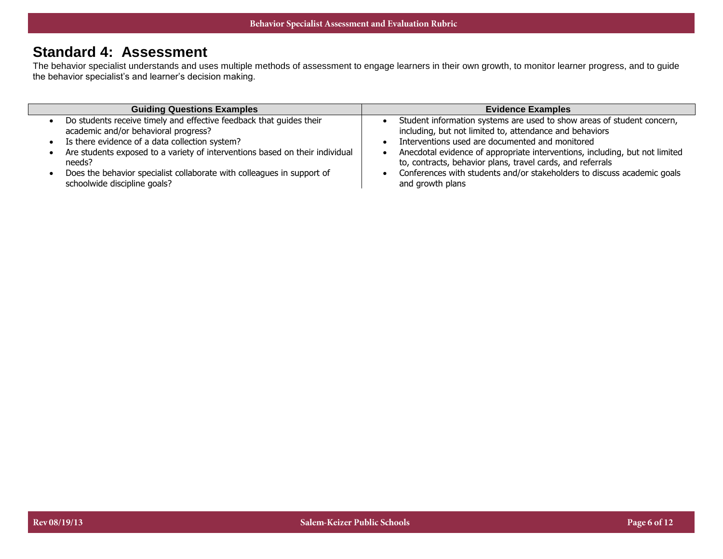## **Standard 4: Assessment**

The behavior specialist understands and uses multiple methods of assessment to engage learners in their own growth, to monitor learner progress, and to guide the behavior specialist's and learner's decision making.

| <b>Guiding Questions Examples</b>                                            | <b>Evidence Examples</b>                                                    |
|------------------------------------------------------------------------------|-----------------------------------------------------------------------------|
| Do students receive timely and effective feedback that guides their          | Student information systems are used to show areas of student concern,      |
| academic and/or behavioral progress?                                         | including, but not limited to, attendance and behaviors                     |
| Is there evidence of a data collection system?                               | Interventions used are documented and monitored                             |
| Are students exposed to a variety of interventions based on their individual | Anecdotal evidence of appropriate interventions, including, but not limited |
| needs?                                                                       | to, contracts, behavior plans, travel cards, and referrals                  |
| Does the behavior specialist collaborate with colleagues in support of       | Conferences with students and/or stakeholders to discuss academic goals     |
| schoolwide discipline goals?                                                 | and growth plans                                                            |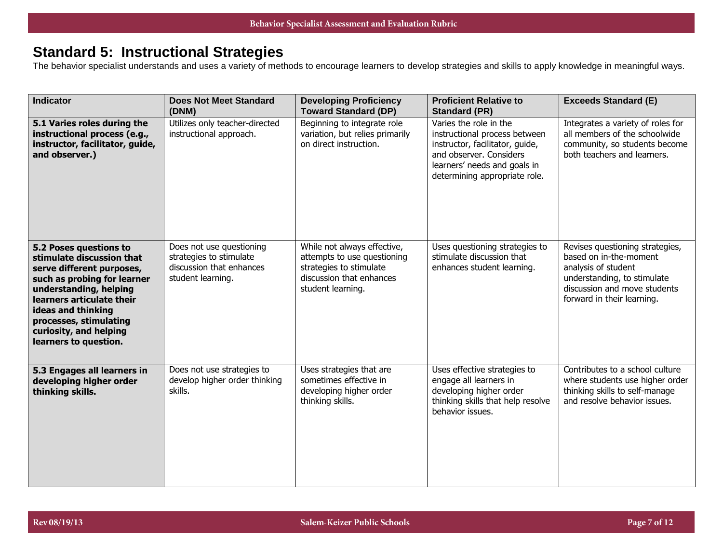# **Standard 5: Instructional Strategies**

The behavior specialist understands and uses a variety of methods to encourage learners to develop strategies and skills to apply knowledge in meaningful ways.

| <b>Indicator</b>                                                                                                                                                                                                                                                          | <b>Does Not Meet Standard</b><br>(DNM)                                                               | <b>Developing Proficiency</b><br><b>Toward Standard (DP)</b>                                                                           | <b>Proficient Relative to</b><br><b>Standard (PR)</b>                                                                                                                                  | <b>Exceeds Standard (E)</b>                                                                                                                                                   |
|---------------------------------------------------------------------------------------------------------------------------------------------------------------------------------------------------------------------------------------------------------------------------|------------------------------------------------------------------------------------------------------|----------------------------------------------------------------------------------------------------------------------------------------|----------------------------------------------------------------------------------------------------------------------------------------------------------------------------------------|-------------------------------------------------------------------------------------------------------------------------------------------------------------------------------|
| 5.1 Varies roles during the<br>instructional process (e.g.,<br>instructor, facilitator, guide,<br>and observer.)                                                                                                                                                          | Utilizes only teacher-directed<br>instructional approach.                                            | Beginning to integrate role<br>variation, but relies primarily<br>on direct instruction.                                               | Varies the role in the<br>instructional process between<br>instructor, facilitator, guide,<br>and observer, Considers<br>learners' needs and goals in<br>determining appropriate role. | Integrates a variety of roles for<br>all members of the schoolwide<br>community, so students become<br>both teachers and learners.                                            |
| 5.2 Poses questions to<br>stimulate discussion that<br>serve different purposes,<br>such as probing for learner<br>understanding, helping<br>learners articulate their<br>ideas and thinking<br>processes, stimulating<br>curiosity, and helping<br>learners to question. | Does not use questioning<br>strategies to stimulate<br>discussion that enhances<br>student learning. | While not always effective,<br>attempts to use questioning<br>strategies to stimulate<br>discussion that enhances<br>student learning. | Uses questioning strategies to<br>stimulate discussion that<br>enhances student learning.                                                                                              | Revises questioning strategies,<br>based on in-the-moment<br>analysis of student<br>understanding, to stimulate<br>discussion and move students<br>forward in their learning. |
| 5.3 Engages all learners in<br>developing higher order<br>thinking skills.                                                                                                                                                                                                | Does not use strategies to<br>develop higher order thinking<br>skills.                               | Uses strategies that are<br>sometimes effective in<br>developing higher order<br>thinking skills.                                      | Uses effective strategies to<br>engage all learners in<br>developing higher order<br>thinking skills that help resolve<br>behavior issues.                                             | Contributes to a school culture<br>where students use higher order<br>thinking skills to self-manage<br>and resolve behavior issues.                                          |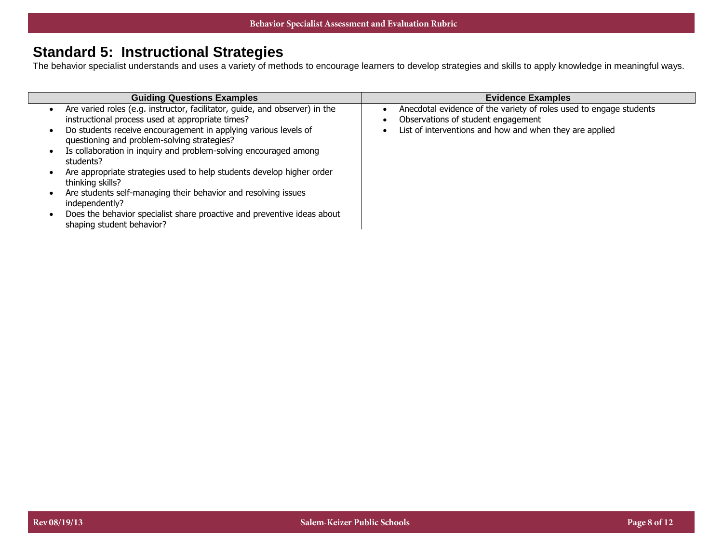# **Standard 5: Instructional Strategies**

The behavior specialist understands and uses a variety of methods to encourage learners to develop strategies and skills to apply knowledge in meaningful ways.

| <b>Guiding Questions Examples</b>                                                                                                                                                                                                                                                                                                                                                                                                                                                                                                                                                                                           | <b>Evidence Examples</b>                                                                                                                                            |
|-----------------------------------------------------------------------------------------------------------------------------------------------------------------------------------------------------------------------------------------------------------------------------------------------------------------------------------------------------------------------------------------------------------------------------------------------------------------------------------------------------------------------------------------------------------------------------------------------------------------------------|---------------------------------------------------------------------------------------------------------------------------------------------------------------------|
| Are varied roles (e.g. instructor, facilitator, guide, and observer) in the<br>instructional process used at appropriate times?<br>Do students receive encouragement in applying various levels of<br>questioning and problem-solving strategies?<br>Is collaboration in inquiry and problem-solving encouraged among<br>students?<br>Are appropriate strategies used to help students develop higher order<br>thinking skills?<br>Are students self-managing their behavior and resolving issues<br>independently?<br>Does the behavior specialist share proactive and preventive ideas about<br>shaping student behavior? | Anecdotal evidence of the variety of roles used to engage students<br>Observations of student engagement<br>List of interventions and how and when they are applied |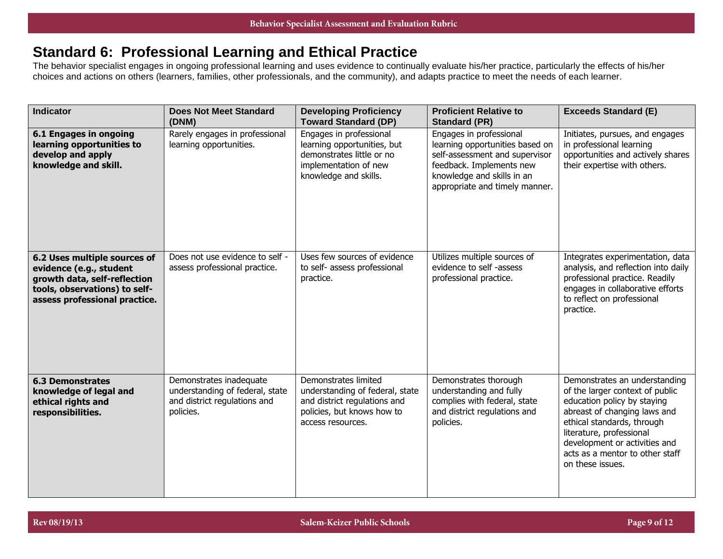## **Standard 6: Professional Learning and Ethical Practice**

The behavior specialist engages in ongoing professional learning and uses evidence to continually evaluate his/her practice, particularly the effects of his/her choices and actions on others (learners, families, other professionals, and the community), and adapts practice to meet the needs of each learner.

| <b>Indicator</b>                                                                                                                                          | <b>Does Not Meet Standard</b><br>(DNM)                                                                  | <b>Developing Proficiency</b><br><b>Toward Standard (DP)</b>                                                                               | <b>Proficient Relative to</b><br><b>Standard (PR)</b>                                                                                                                                    | <b>Exceeds Standard (E)</b>                                                                                                                                                                                                                                                       |
|-----------------------------------------------------------------------------------------------------------------------------------------------------------|---------------------------------------------------------------------------------------------------------|--------------------------------------------------------------------------------------------------------------------------------------------|------------------------------------------------------------------------------------------------------------------------------------------------------------------------------------------|-----------------------------------------------------------------------------------------------------------------------------------------------------------------------------------------------------------------------------------------------------------------------------------|
| <b>6.1 Engages in ongoing</b><br>learning opportunities to<br>develop and apply<br>knowledge and skill.                                                   | Rarely engages in professional<br>learning opportunities.                                               | Engages in professional<br>learning opportunities, but<br>demonstrates little or no<br>implementation of new<br>knowledge and skills.      | Engages in professional<br>learning opportunities based on<br>self-assessment and supervisor<br>feedback. Implements new<br>knowledge and skills in an<br>appropriate and timely manner. | Initiates, pursues, and engages<br>in professional learning<br>opportunities and actively shares<br>their expertise with others.                                                                                                                                                  |
| 6.2 Uses multiple sources of<br>evidence (e.g., student<br>growth data, self-reflection<br>tools, observations) to self-<br>assess professional practice. | Does not use evidence to self -<br>assess professional practice.                                        | Uses few sources of evidence<br>to self- assess professional<br>practice.                                                                  | Utilizes multiple sources of<br>evidence to self -assess<br>professional practice.                                                                                                       | Integrates experimentation, data<br>analysis, and reflection into daily<br>professional practice. Readily<br>engages in collaborative efforts<br>to reflect on professional<br>practice.                                                                                          |
| <b>6.3 Demonstrates</b><br>knowledge of legal and<br>ethical rights and<br>responsibilities.                                                              | Demonstrates inadequate<br>understanding of federal, state<br>and district regulations and<br>policies. | Demonstrates limited<br>understanding of federal, state<br>and district regulations and<br>policies, but knows how to<br>access resources. | Demonstrates thorough<br>understanding and fully<br>complies with federal, state<br>and district regulations and<br>policies.                                                            | Demonstrates an understanding<br>of the larger context of public<br>education policy by staying<br>abreast of changing laws and<br>ethical standards, through<br>literature, professional<br>development or activities and<br>acts as a mentor to other staff<br>on these issues. |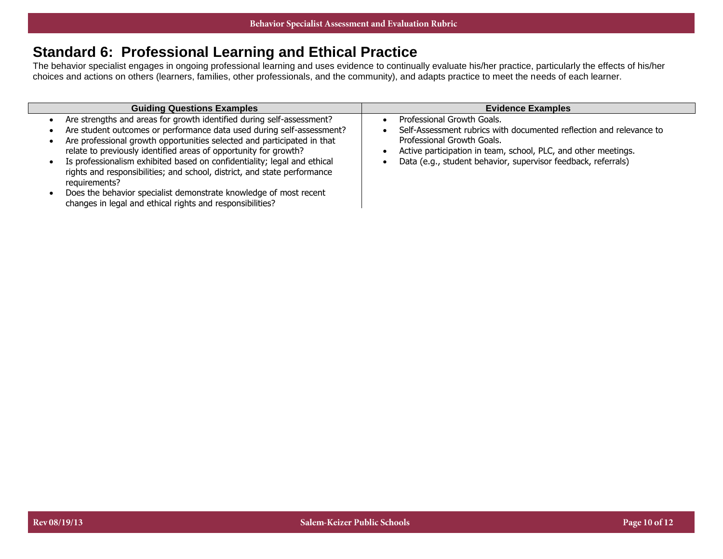## **Standard 6: Professional Learning and Ethical Practice**

The behavior specialist engages in ongoing professional learning and uses evidence to continually evaluate his/her practice, particularly the effects of his/her choices and actions on others (learners, families, other professionals, and the community), and adapts practice to meet the needs of each learner.

| <b>Guiding Questions Examples</b>                                                                                                                                                                                                                                                             | <b>Evidence Examples</b>                                                                                                                                                                          |
|-----------------------------------------------------------------------------------------------------------------------------------------------------------------------------------------------------------------------------------------------------------------------------------------------|---------------------------------------------------------------------------------------------------------------------------------------------------------------------------------------------------|
| Are strengths and areas for growth identified during self-assessment?<br>Are student outcomes or performance data used during self-assessment?<br>Are professional growth opportunities selected and participated in that<br>relate to previously identified areas of opportunity for growth? | Professional Growth Goals.<br>Self-Assessment rubrics with documented reflection and relevance to<br>Professional Growth Goals.<br>Active participation in team, school, PLC, and other meetings. |
| Is professionalism exhibited based on confidentiality; legal and ethical<br>rights and responsibilities; and school, district, and state performance<br>requirements?                                                                                                                         | Data (e.g., student behavior, supervisor feedback, referrals)                                                                                                                                     |
| Does the behavior specialist demonstrate knowledge of most recent<br>changes in legal and ethical rights and responsibilities?                                                                                                                                                                |                                                                                                                                                                                                   |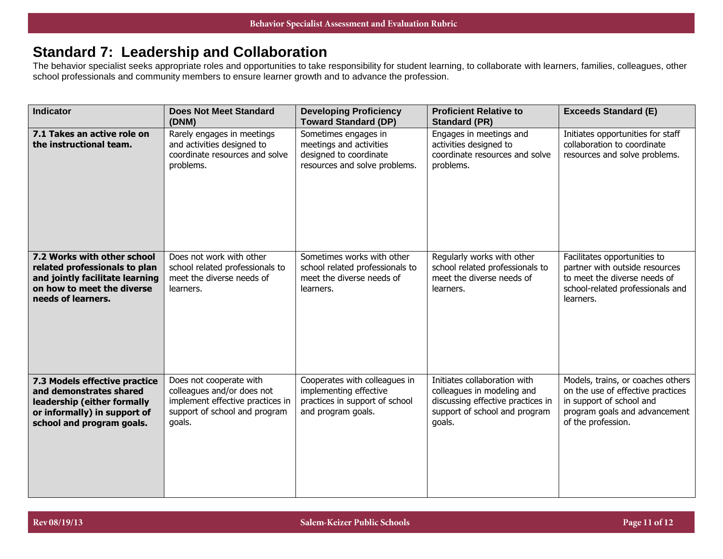## **Standard 7: Leadership and Collaboration**

The behavior specialist seeks appropriate roles and opportunities to take responsibility for student learning, to collaborate with learners, families, colleagues, other school professionals and community members to ensure learner growth and to advance the profession.

| <b>Indicator</b>                                                                                                                                     | <b>Does Not Meet Standard</b><br>(DNM)                                                                                               | <b>Developing Proficiency</b><br><b>Toward Standard (DP)</b>                                                    | <b>Proficient Relative to</b><br><b>Standard (PR)</b>                                                                                      | <b>Exceeds Standard (E)</b>                                                                                                                               |
|------------------------------------------------------------------------------------------------------------------------------------------------------|--------------------------------------------------------------------------------------------------------------------------------------|-----------------------------------------------------------------------------------------------------------------|--------------------------------------------------------------------------------------------------------------------------------------------|-----------------------------------------------------------------------------------------------------------------------------------------------------------|
| 7.1 Takes an active role on<br>the instructional team.                                                                                               | Rarely engages in meetings<br>and activities designed to<br>coordinate resources and solve<br>problems.                              | Sometimes engages in<br>meetings and activities<br>designed to coordinate<br>resources and solve problems.      | Engages in meetings and<br>activities designed to<br>coordinate resources and solve<br>problems.                                           | Initiates opportunities for staff<br>collaboration to coordinate<br>resources and solve problems.                                                         |
| 7.2 Works with other school<br>related professionals to plan<br>and jointly facilitate learning<br>on how to meet the diverse<br>needs of learners.  | Does not work with other<br>school related professionals to<br>meet the diverse needs of<br>learners.                                | Sometimes works with other<br>school related professionals to<br>meet the diverse needs of<br>learners.         | Regularly works with other<br>school related professionals to<br>meet the diverse needs of<br>learners.                                    | Facilitates opportunities to<br>partner with outside resources<br>to meet the diverse needs of<br>school-related professionals and<br>learners.           |
| 7.3 Models effective practice<br>and demonstrates shared<br>leadership (either formally<br>or informally) in support of<br>school and program goals. | Does not cooperate with<br>colleagues and/or does not<br>implement effective practices in<br>support of school and program<br>goals. | Cooperates with colleagues in<br>implementing effective<br>practices in support of school<br>and program goals. | Initiates collaboration with<br>colleagues in modeling and<br>discussing effective practices in<br>support of school and program<br>goals. | Models, trains, or coaches others<br>on the use of effective practices<br>in support of school and<br>program goals and advancement<br>of the profession. |